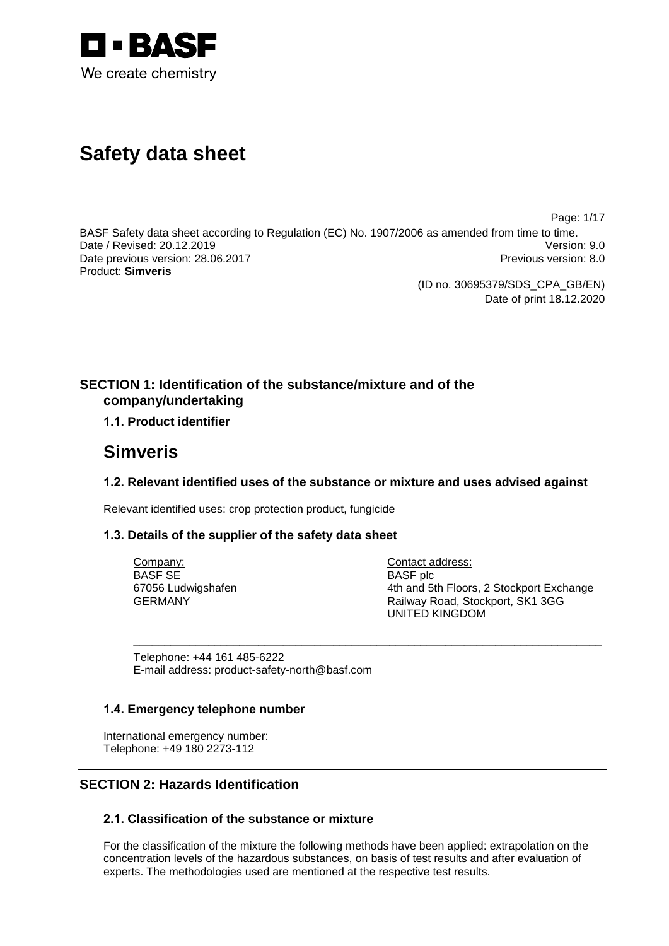

# **Safety data sheet**

Page: 1/17

BASF Safety data sheet according to Regulation (EC) No. 1907/2006 as amended from time to time. Date / Revised: 20.12.2019 Date previous version: 28.06.2017 **Previous version: 8.0** Previous version: 8.0 Product: **Simveris**

(ID no. 30695379/SDS\_CPA\_GB/EN)

Date of print 18.12.2020

# **SECTION 1: Identification of the substance/mixture and of the company/undertaking**

# **1.1. Product identifier**

# **Simveris**

# **1.2. Relevant identified uses of the substance or mixture and uses advised against**

\_\_\_\_\_\_\_\_\_\_\_\_\_\_\_\_\_\_\_\_\_\_\_\_\_\_\_\_\_\_\_\_\_\_\_\_\_\_\_\_\_\_\_\_\_\_\_\_\_\_\_\_\_\_\_\_\_\_\_\_\_\_\_\_\_\_\_\_\_\_\_\_\_\_\_

Relevant identified uses: crop protection product, fungicide

# **1.3. Details of the supplier of the safety data sheet**

Company: BASF SE 67056 Ludwigshafen GERMANY

Contact address: BASF plc 4th and 5th Floors, 2 Stockport Exchange Railway Road, Stockport, SK1 3GG UNITED KINGDOM

Telephone: +44 161 485-6222 E-mail address: product-safety-north@basf.com

# **1.4. Emergency telephone number**

International emergency number: Telephone: +49 180 2273-112

# **SECTION 2: Hazards Identification**

# **2.1. Classification of the substance or mixture**

For the classification of the mixture the following methods have been applied: extrapolation on the concentration levels of the hazardous substances, on basis of test results and after evaluation of experts. The methodologies used are mentioned at the respective test results.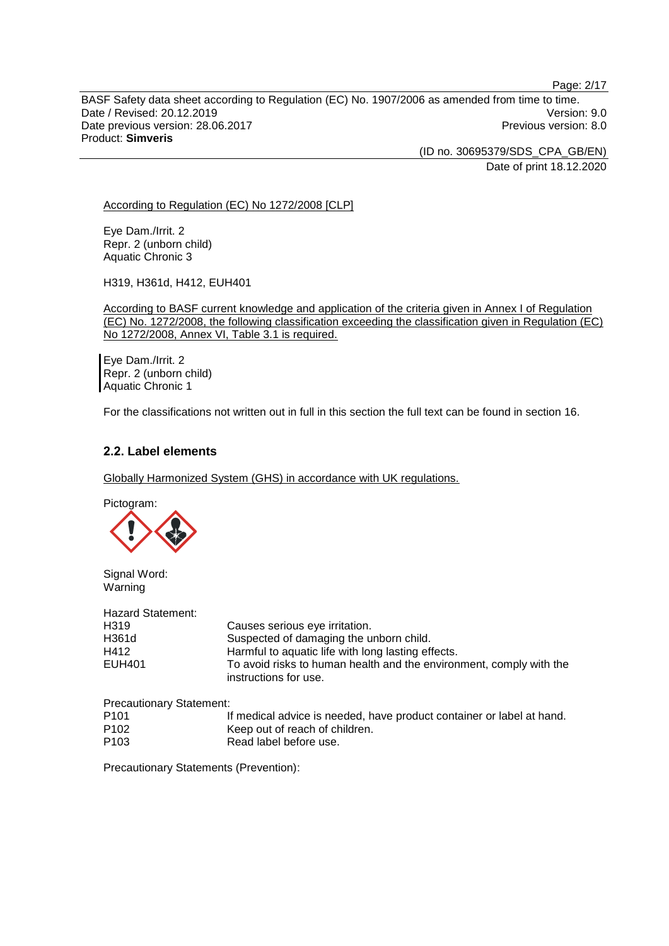BASF Safety data sheet according to Regulation (EC) No. 1907/2006 as amended from time to time. Date / Revised: 20.12.2019 Version: 9.0 Date previous version: 28.06.2017 **Previous version: 8.0** Previous version: 8.0 Product: **Simveris**

> (ID no. 30695379/SDS\_CPA\_GB/EN) Date of print 18.12.2020

Page: 2/17

According to Regulation (EC) No 1272/2008 [CLP]

Eye Dam./Irrit. 2 Repr. 2 (unborn child) Aquatic Chronic 3

H319, H361d, H412, EUH401

According to BASF current knowledge and application of the criteria given in Annex I of Regulation (EC) No. 1272/2008, the following classification exceeding the classification given in Regulation (EC) No 1272/2008, Annex VI, Table 3.1 is required.

Eye Dam./Irrit. 2 Repr. 2 (unborn child) Aquatic Chronic 1

For the classifications not written out in full in this section the full text can be found in section 16.

# **2.2. Label elements**

Globally Harmonized System (GHS) in accordance with UK regulations.

Pictogram:



Signal Word: Warning

| Hazard Statement: |                                                                                              |
|-------------------|----------------------------------------------------------------------------------------------|
| H319              | Causes serious eye irritation.                                                               |
| H361d             | Suspected of damaging the unborn child.                                                      |
| H412              | Harmful to aquatic life with long lasting effects.                                           |
| EUH401            | To avoid risks to human health and the environment, comply with the<br>instructions for use. |

Precautionary Statement:

| P <sub>101</sub> | If medical advice is needed, have product container or label at hand. |
|------------------|-----------------------------------------------------------------------|
| P <sub>102</sub> | Keep out of reach of children.                                        |
| P <sub>103</sub> | Read label before use.                                                |

Precautionary Statements (Prevention):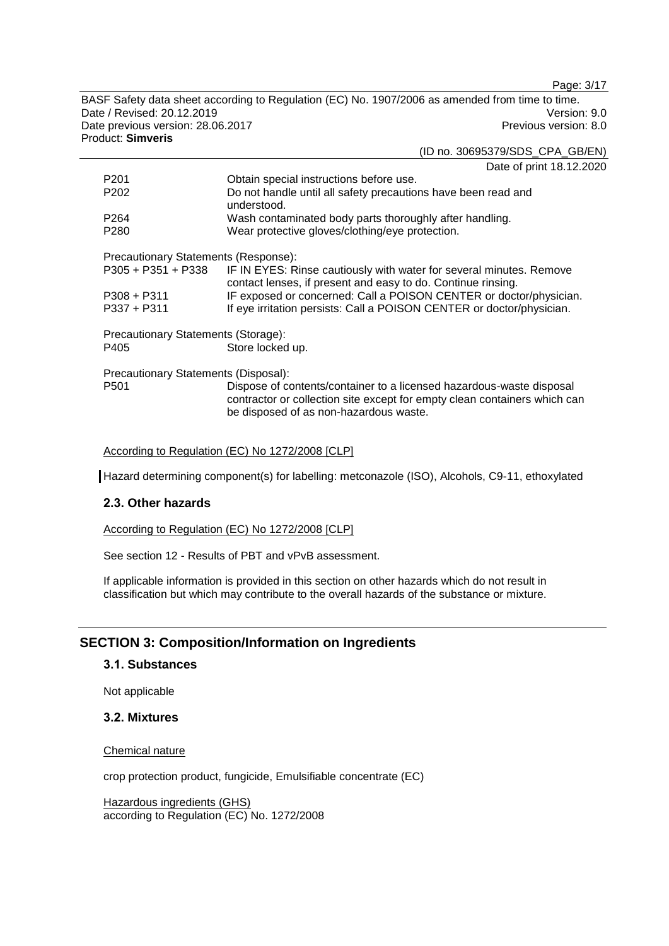Page: 3/17

BASF Safety data sheet according to Regulation (EC) No. 1907/2006 as amended from time to time. Date / Revised: 20.12.2019 Version: 9.0<br>Date previous version: 28.06.2017 Version: 9.0 Date previous version: 28.06.2017 Product: **Simveris**

|                                      | (ID no. 30695379/SDS_CPA_GB/EN)                                                                                                                                                             |  |
|--------------------------------------|---------------------------------------------------------------------------------------------------------------------------------------------------------------------------------------------|--|
|                                      | Date of print 18.12.2020                                                                                                                                                                    |  |
| P201                                 | Obtain special instructions before use.                                                                                                                                                     |  |
| P202                                 | Do not handle until all safety precautions have been read and<br>understood.                                                                                                                |  |
| P264                                 | Wash contaminated body parts thoroughly after handling.                                                                                                                                     |  |
| P280                                 | Wear protective gloves/clothing/eye protection.                                                                                                                                             |  |
| Precautionary Statements (Response): |                                                                                                                                                                                             |  |
| P305 + P351 + P338                   | IF IN EYES: Rinse cautiously with water for several minutes. Remove<br>contact lenses, if present and easy to do. Continue rinsing.                                                         |  |
| P308 + P311                          | IF exposed or concerned: Call a POISON CENTER or doctor/physician.                                                                                                                          |  |
| P337 + P311                          | If eye irritation persists: Call a POISON CENTER or doctor/physician.                                                                                                                       |  |
| Precautionary Statements (Storage):  |                                                                                                                                                                                             |  |
| P405                                 | Store locked up.                                                                                                                                                                            |  |
| Precautionary Statements (Disposal): |                                                                                                                                                                                             |  |
| P501                                 | Dispose of contents/container to a licensed hazardous-waste disposal<br>contractor or collection site except for empty clean containers which can<br>be disposed of as non-hazardous waste. |  |
|                                      |                                                                                                                                                                                             |  |

According to Regulation (EC) No 1272/2008 [CLP]

Hazard determining component(s) for labelling: metconazole (ISO), Alcohols, C9-11, ethoxylated

# **2.3. Other hazards**

According to Regulation (EC) No 1272/2008 [CLP]

See section 12 - Results of PBT and vPvB assessment.

If applicable information is provided in this section on other hazards which do not result in classification but which may contribute to the overall hazards of the substance or mixture.

# **SECTION 3: Composition/Information on Ingredients**

# **3.1. Substances**

Not applicable

### **3.2. Mixtures**

Chemical nature

crop protection product, fungicide, Emulsifiable concentrate (EC)

Hazardous ingredients (GHS) according to Regulation (EC) No. 1272/2008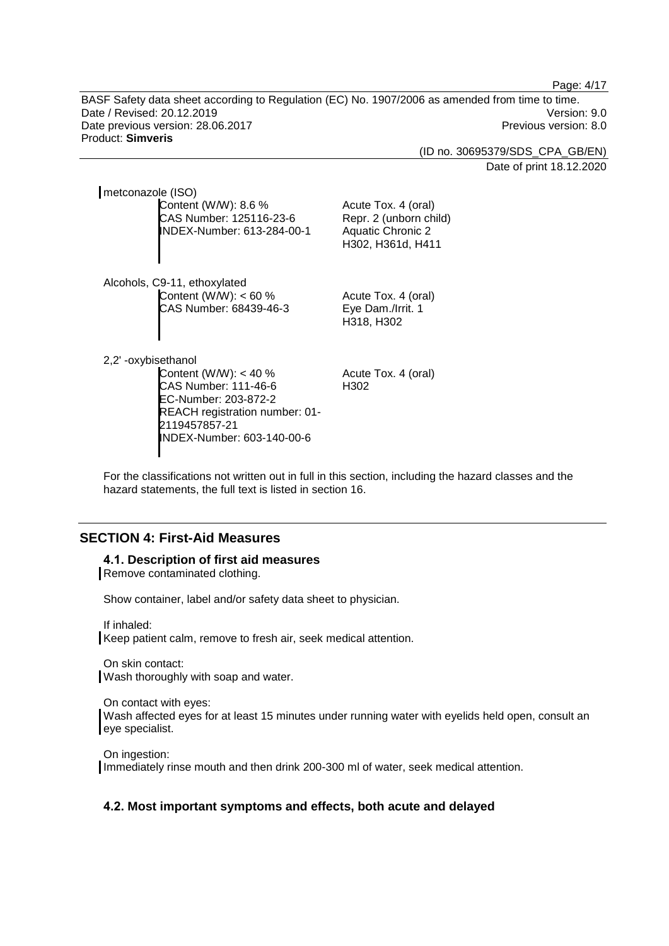Page: 4/17

BASF Safety data sheet according to Regulation (EC) No. 1907/2006 as amended from time to time. Date / Revised: 20.12.2019 Version: 9.0 Date previous version: 28.06.2017 **Previous version: 8.0** Previous version: 8.0 Product: **Simveris**

(ID no. 30695379/SDS\_CPA\_GB/EN)

Date of print 18.12.2020

metconazole (ISO) Content (W/W): 8.6 % CAS Number: 125116-23-6 INDEX-Number: 613-284-00-1

Alcohols, C9-11, ethoxylated Content (W/W): < 60 % CAS Number: 68439-46-3

Acute Tox. 4 (oral) Eye Dam./Irrit. 1 H318, H302

Acute Tox. 4 (oral) Repr. 2 (unborn child) Aquatic Chronic 2 H302, H361d, H411

2,2' -oxybisethanol

Content (W/W): < 40 % CAS Number: 111-46-6 EC-Number: 203-872-2 REACH registration number: 01- 2119457857-21 INDEX-Number: 603-140-00-6

Acute Tox. 4 (oral) H302

For the classifications not written out in full in this section, including the hazard classes and the hazard statements, the full text is listed in section 16.

# **SECTION 4: First-Aid Measures**

### **4.1. Description of first aid measures**

Remove contaminated clothing.

Show container, label and/or safety data sheet to physician.

If inhaled:

Keep patient calm, remove to fresh air, seek medical attention.

On skin contact: Wash thoroughly with soap and water.

On contact with eyes: Wash affected eyes for at least 15 minutes under running water with eyelids held open, consult an eye specialist.

On ingestion: Immediately rinse mouth and then drink 200-300 ml of water, seek medical attention.

# **4.2. Most important symptoms and effects, both acute and delayed**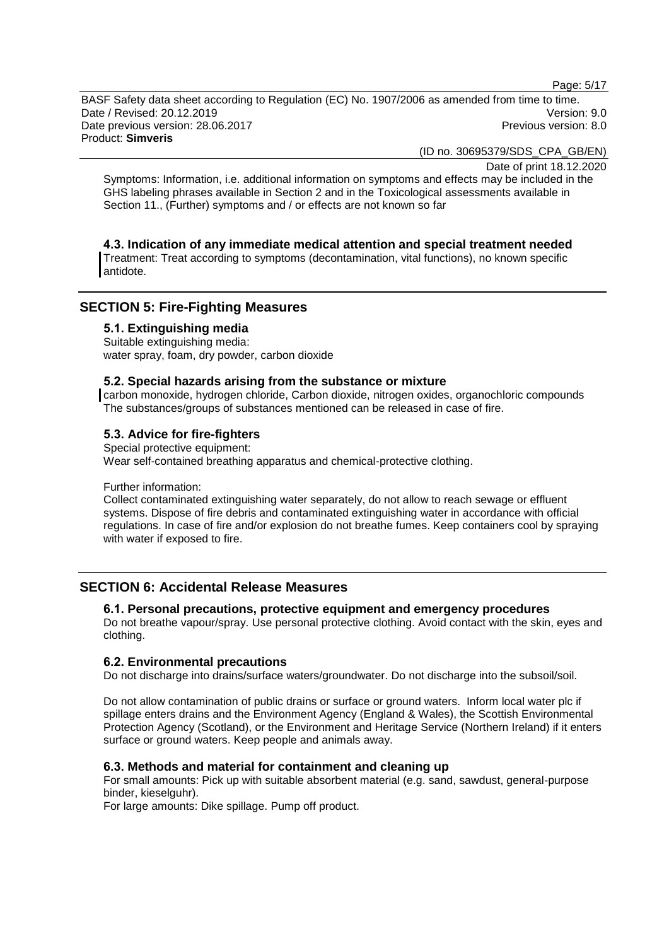Page: 5/17

BASF Safety data sheet according to Regulation (EC) No. 1907/2006 as amended from time to time. Date / Revised: 20.12.2019 Version: 9.0 Date previous version: 28.06.2017 **Previous version: 8.0** Previous version: 8.0 Product: **Simveris**

(ID no. 30695379/SDS\_CPA\_GB/EN)

Date of print 18.12.2020

Symptoms: Information, i.e. additional information on symptoms and effects may be included in the GHS labeling phrases available in Section 2 and in the Toxicological assessments available in Section 11., (Further) symptoms and / or effects are not known so far

# **4.3. Indication of any immediate medical attention and special treatment needed**

Treatment: Treat according to symptoms (decontamination, vital functions), no known specific antidote.

# **SECTION 5: Fire-Fighting Measures**

### **5.1. Extinguishing media**

Suitable extinguishing media: water spray, foam, dry powder, carbon dioxide

### **5.2. Special hazards arising from the substance or mixture**

carbon monoxide, hydrogen chloride, Carbon dioxide, nitrogen oxides, organochloric compounds The substances/groups of substances mentioned can be released in case of fire.

# **5.3. Advice for fire-fighters**

Special protective equipment: Wear self-contained breathing apparatus and chemical-protective clothing.

### Further information:

Collect contaminated extinguishing water separately, do not allow to reach sewage or effluent systems. Dispose of fire debris and contaminated extinguishing water in accordance with official regulations. In case of fire and/or explosion do not breathe fumes. Keep containers cool by spraying with water if exposed to fire.

# **SECTION 6: Accidental Release Measures**

# **6.1. Personal precautions, protective equipment and emergency procedures**

Do not breathe vapour/spray. Use personal protective clothing. Avoid contact with the skin, eyes and clothing.

### **6.2. Environmental precautions**

Do not discharge into drains/surface waters/groundwater. Do not discharge into the subsoil/soil.

Do not allow contamination of public drains or surface or ground waters. Inform local water plc if spillage enters drains and the Environment Agency (England & Wales), the Scottish Environmental Protection Agency (Scotland), or the Environment and Heritage Service (Northern Ireland) if it enters surface or ground waters. Keep people and animals away.

# **6.3. Methods and material for containment and cleaning up**

For small amounts: Pick up with suitable absorbent material (e.g. sand, sawdust, general-purpose binder, kieselguhr).

For large amounts: Dike spillage. Pump off product.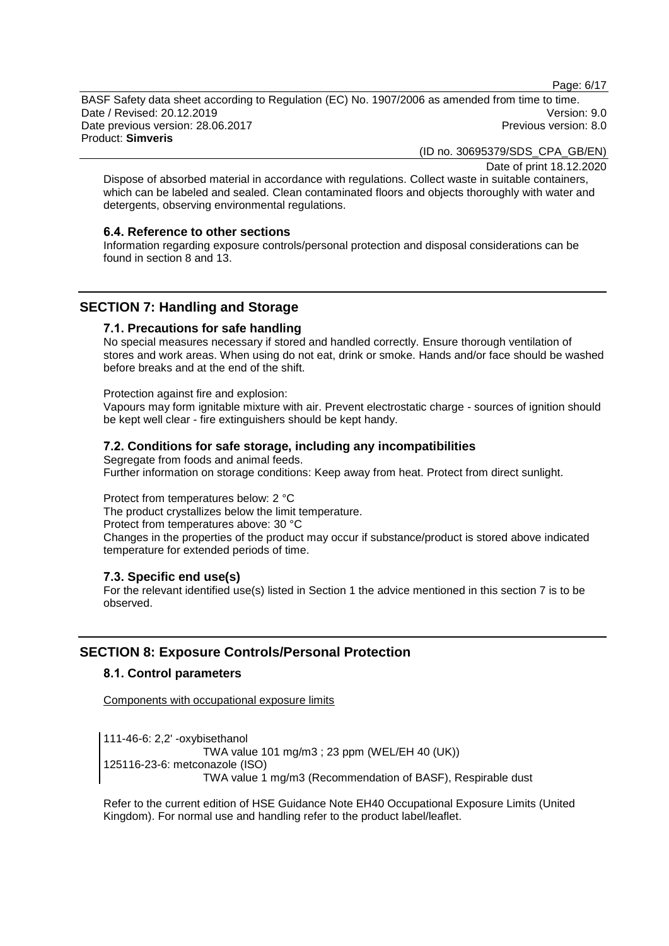Page: 6/17

BASF Safety data sheet according to Regulation (EC) No. 1907/2006 as amended from time to time. Date / Revised: 20.12.2019 Version: 9.0 Date previous version: 28.06.2017 **Previous version: 8.0** Previous version: 8.0 Product: **Simveris**

(ID no. 30695379/SDS\_CPA\_GB/EN)

Date of print 18.12.2020

Dispose of absorbed material in accordance with regulations. Collect waste in suitable containers, which can be labeled and sealed. Clean contaminated floors and objects thoroughly with water and detergents, observing environmental regulations.

### **6.4. Reference to other sections**

Information regarding exposure controls/personal protection and disposal considerations can be found in section 8 and 13.

# **SECTION 7: Handling and Storage**

### **7.1. Precautions for safe handling**

No special measures necessary if stored and handled correctly. Ensure thorough ventilation of stores and work areas. When using do not eat, drink or smoke. Hands and/or face should be washed before breaks and at the end of the shift.

Protection against fire and explosion:

Vapours may form ignitable mixture with air. Prevent electrostatic charge - sources of ignition should be kept well clear - fire extinguishers should be kept handy.

# **7.2. Conditions for safe storage, including any incompatibilities**

Segregate from foods and animal feeds. Further information on storage conditions: Keep away from heat. Protect from direct sunlight.

Protect from temperatures below: 2 °C The product crystallizes below the limit temperature. Protect from temperatures above: 30 °C Changes in the properties of the product may occur if substance/product is stored above indicated temperature for extended periods of time.

# **7.3. Specific end use(s)**

For the relevant identified use(s) listed in Section 1 the advice mentioned in this section 7 is to be observed.

# **SECTION 8: Exposure Controls/Personal Protection**

# **8.1. Control parameters**

Components with occupational exposure limits

111-46-6: 2,2' -oxybisethanol TWA value 101 mg/m3 ; 23 ppm (WEL/EH 40 (UK)) 125116-23-6: metconazole (ISO) TWA value 1 mg/m3 (Recommendation of BASF), Respirable dust

Refer to the current edition of HSE Guidance Note EH40 Occupational Exposure Limits (United Kingdom). For normal use and handling refer to the product label/leaflet.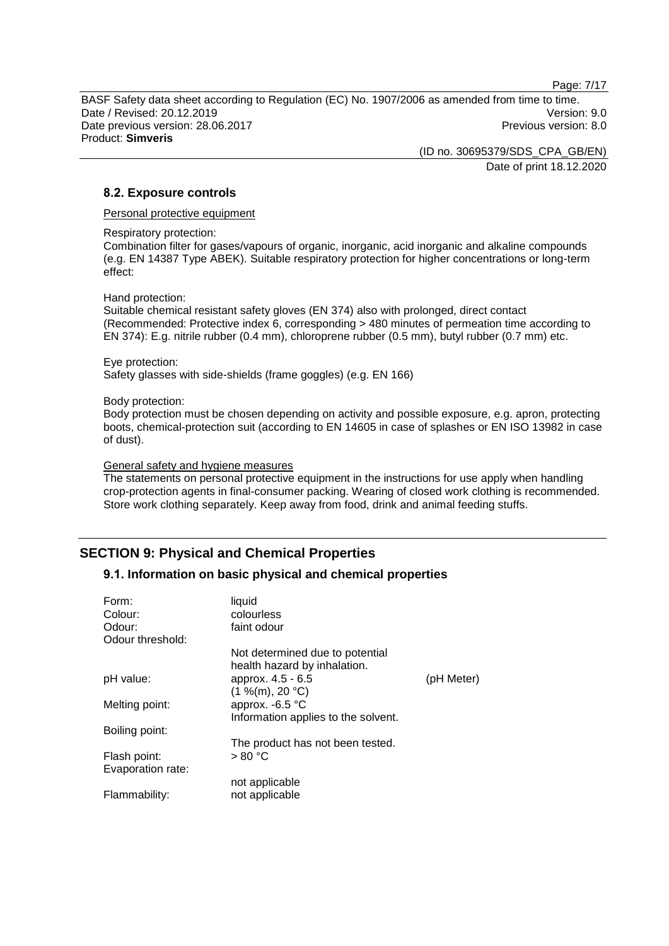Page: 7/17

BASF Safety data sheet according to Regulation (EC) No. 1907/2006 as amended from time to time. Date / Revised: 20.12.2019 Version: 9.0 Date previous version: 28.06.2017 **Previous version: 8.0** Previous version: 8.0 Product: **Simveris**

> (ID no. 30695379/SDS\_CPA\_GB/EN) Date of print 18.12.2020

### **8.2. Exposure controls**

Personal protective equipment

Respiratory protection:

Combination filter for gases/vapours of organic, inorganic, acid inorganic and alkaline compounds (e.g. EN 14387 Type ABEK). Suitable respiratory protection for higher concentrations or long-term effect:

#### Hand protection:

Suitable chemical resistant safety gloves (EN 374) also with prolonged, direct contact (Recommended: Protective index 6, corresponding > 480 minutes of permeation time according to EN 374): E.g. nitrile rubber (0.4 mm), chloroprene rubber (0.5 mm), butyl rubber (0.7 mm) etc.

#### Eye protection:

Safety glasses with side-shields (frame goggles) (e.g. EN 166)

#### Body protection:

Body protection must be chosen depending on activity and possible exposure, e.g. apron, protecting boots, chemical-protection suit (according to EN 14605 in case of splashes or EN ISO 13982 in case of dust).

#### General safety and hygiene measures

The statements on personal protective equipment in the instructions for use apply when handling crop-protection agents in final-consumer packing. Wearing of closed work clothing is recommended. Store work clothing separately. Keep away from food, drink and animal feeding stuffs.

# **SECTION 9: Physical and Chemical Properties**

# **9.1. Information on basic physical and chemical properties**

| Form:<br>Colour:  | liquid<br>colourless                                            |            |
|-------------------|-----------------------------------------------------------------|------------|
| Odour:            | faint odour                                                     |            |
| Odour threshold:  |                                                                 |            |
|                   | Not determined due to potential<br>health hazard by inhalation. |            |
| pH value:         | approx. 4.5 - 6.5                                               | (pH Meter) |
| Melting point:    | (1 %(m), 20 °C)<br>approx. -6.5 °C                              |            |
|                   | Information applies to the solvent.                             |            |
| Boiling point:    |                                                                 |            |
|                   | The product has not been tested.                                |            |
| Flash point:      | > 80 °C                                                         |            |
| Evaporation rate: |                                                                 |            |
|                   | not applicable                                                  |            |
| Flammability:     | not applicable                                                  |            |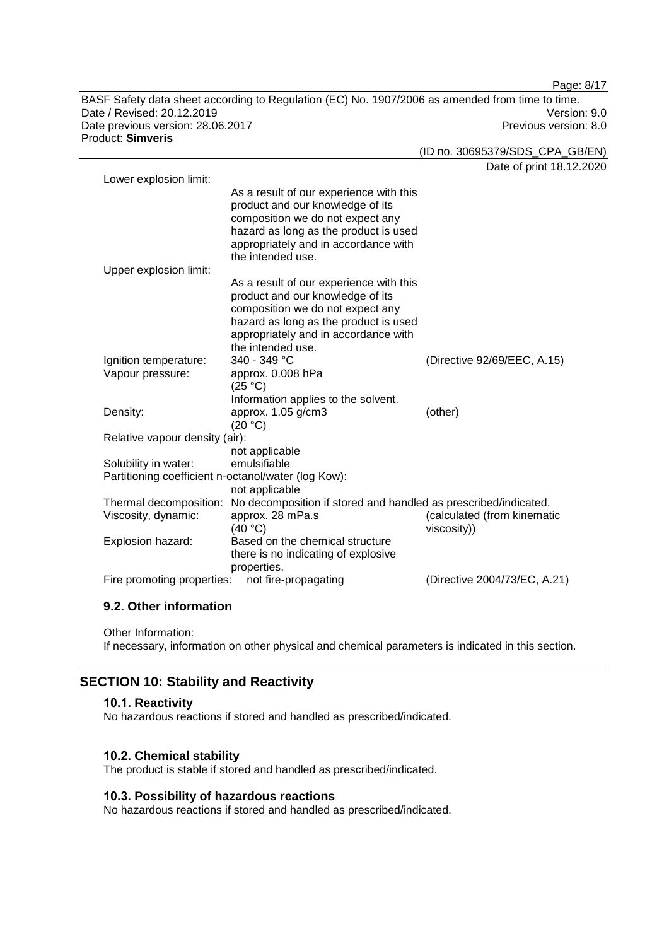BASF Safety data sheet according to Regulation (EC) No. 1907/2006 as amended from time to time. Date / Revised: 20.12.2019 Version: 9.0 Date previous version: 28.06.2017 **Previous version: 8.0** Previous version: 8.0 Product: **Simveris**

Date of print 18.12.2020 Lower explosion limit: As a result of our experience with this product and our knowledge of its composition we do not expect any hazard as long as the product is used appropriately and in accordance with the intended use. Upper explosion limit: As a result of our experience with this product and our knowledge of its composition we do not expect any hazard as long as the product is used appropriately and in accordance with the intended use.<br> $340 - 349$  °C Ignition temperature: 340 - 349 °C (Directive 92/69/EEC, A.15) Vapour pressure: approx. 0.008 hPa  $(25 °C)$ Information applies to the solvent. Density: approx. 1.05 g/cm3  $(20 °C)$ (other) Relative vapour density (air): not applicable Solubility in water: Partitioning coefficient n-octanol/water (log Kow): not applicable Thermal decomposition: No decomposition if stored and handled as prescribed/indicated. Viscosity, dynamic: approx. 28 mPa.s  $(40 °C)$ (calculated (from kinematic viscosity)) Explosion hazard: Based on the chemical structure there is no indicating of explosive properties. Fire promoting properties: not fire-propagating (Directive 2004/73/EC, A.21)

# **9.2. Other information**

Other Information:

If necessary, information on other physical and chemical parameters is indicated in this section.

# **SECTION 10: Stability and Reactivity**

#### **10.1. Reactivity**

No hazardous reactions if stored and handled as prescribed/indicated.

#### **10.2. Chemical stability**

The product is stable if stored and handled as prescribed/indicated.

### **10.3. Possibility of hazardous reactions**

No hazardous reactions if stored and handled as prescribed/indicated.

Page: 8/17

(ID no. 30695379/SDS\_CPA\_GB/EN)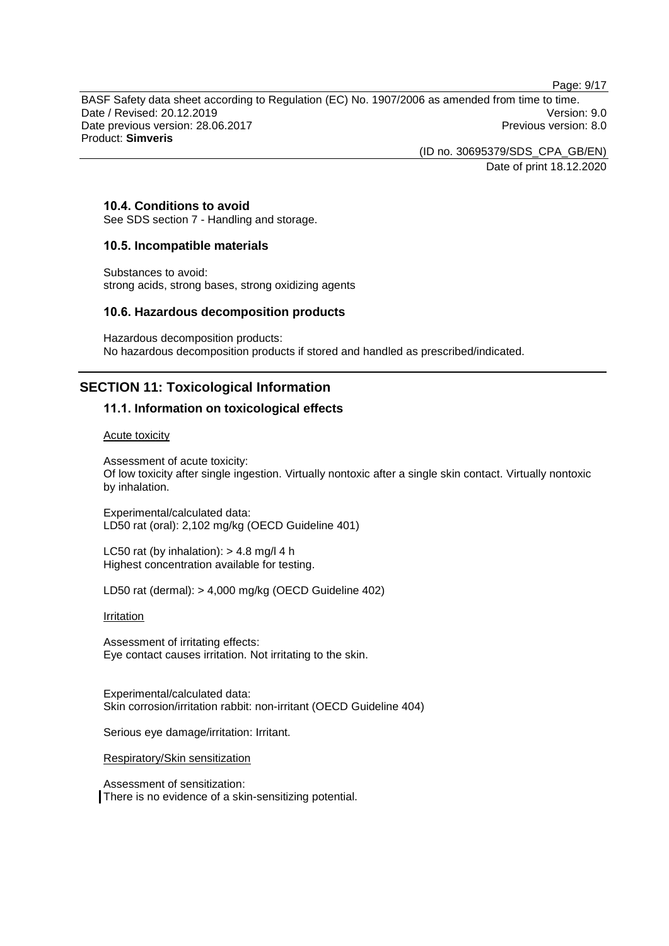Page: 9/17

BASF Safety data sheet according to Regulation (EC) No. 1907/2006 as amended from time to time. Date / Revised: 20.12.2019 Version: 9.0 Date previous version: 28.06.2017 **Previous version: 8.0** Previous version: 8.0 Product: **Simveris**

> (ID no. 30695379/SDS\_CPA\_GB/EN) Date of print 18.12.2020

# **10.4. Conditions to avoid**

See SDS section 7 - Handling and storage.

### **10.5. Incompatible materials**

Substances to avoid: strong acids, strong bases, strong oxidizing agents

### **10.6. Hazardous decomposition products**

Hazardous decomposition products: No hazardous decomposition products if stored and handled as prescribed/indicated.

# **SECTION 11: Toxicological Information**

### **11.1. Information on toxicological effects**

Acute toxicity

Assessment of acute toxicity: Of low toxicity after single ingestion. Virtually nontoxic after a single skin contact. Virtually nontoxic by inhalation.

Experimental/calculated data: LD50 rat (oral): 2,102 mg/kg (OECD Guideline 401)

LC50 rat (by inhalation):  $> 4.8$  mg/l 4 h Highest concentration available for testing.

LD50 rat (dermal): > 4,000 mg/kg (OECD Guideline 402)

**Irritation** 

Assessment of irritating effects: Eye contact causes irritation. Not irritating to the skin.

Experimental/calculated data: Skin corrosion/irritation rabbit: non-irritant (OECD Guideline 404)

Serious eye damage/irritation: Irritant.

Respiratory/Skin sensitization

Assessment of sensitization: There is no evidence of a skin-sensitizing potential.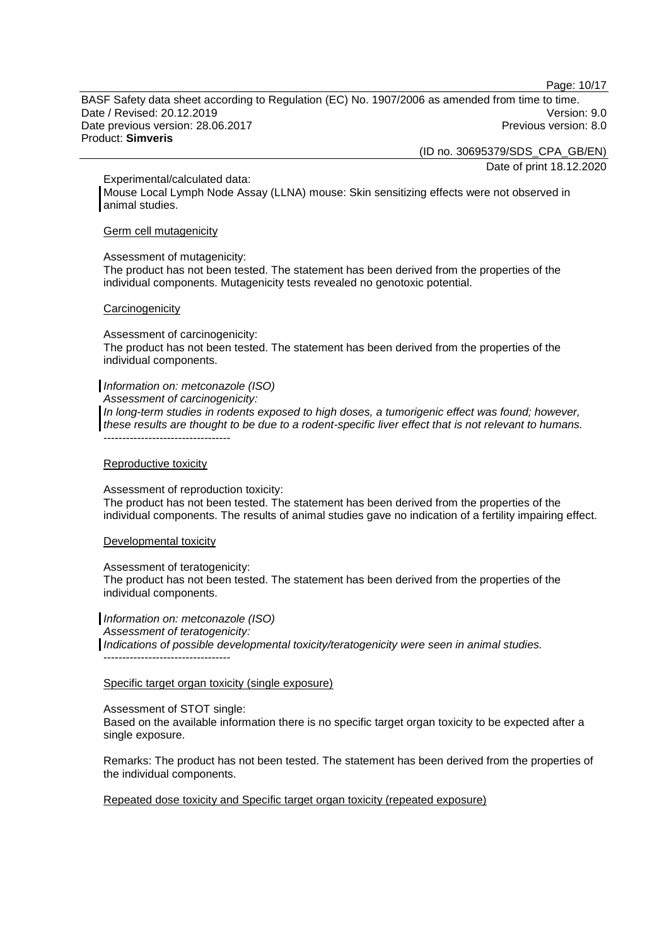Page: 10/17

BASF Safety data sheet according to Regulation (EC) No. 1907/2006 as amended from time to time. Date / Revised: 20.12.2019 Version: 9.0 Date previous version: 28.06.2017 **Previous version: 8.0** Previous version: 8.0 Product: **Simveris**

(ID no. 30695379/SDS\_CPA\_GB/EN)

Date of print 18.12.2020

Experimental/calculated data:

Mouse Local Lymph Node Assay (LLNA) mouse: Skin sensitizing effects were not observed in animal studies.

### Germ cell mutagenicity

#### Assessment of mutagenicity:

The product has not been tested. The statement has been derived from the properties of the individual components. Mutagenicity tests revealed no genotoxic potential.

#### **Carcinogenicity**

Assessment of carcinogenicity:

The product has not been tested. The statement has been derived from the properties of the individual components.

### *Information on: metconazole (ISO)*

*Assessment of carcinogenicity:*

*In long-term studies in rodents exposed to high doses, a tumorigenic effect was found; however, these results are thought to be due to a rodent-specific liver effect that is not relevant to humans.* ----------------------------------

### Reproductive toxicity

Assessment of reproduction toxicity:

The product has not been tested. The statement has been derived from the properties of the individual components. The results of animal studies gave no indication of a fertility impairing effect.

### Developmental toxicity

Assessment of teratogenicity:

The product has not been tested. The statement has been derived from the properties of the individual components.

*Information on: metconazole (ISO) Assessment of teratogenicity: Indications of possible developmental toxicity/teratogenicity were seen in animal studies.* ----------------------------------

### Specific target organ toxicity (single exposure)

### Assessment of STOT single:

Based on the available information there is no specific target organ toxicity to be expected after a single exposure.

Remarks: The product has not been tested. The statement has been derived from the properties of the individual components.

Repeated dose toxicity and Specific target organ toxicity (repeated exposure)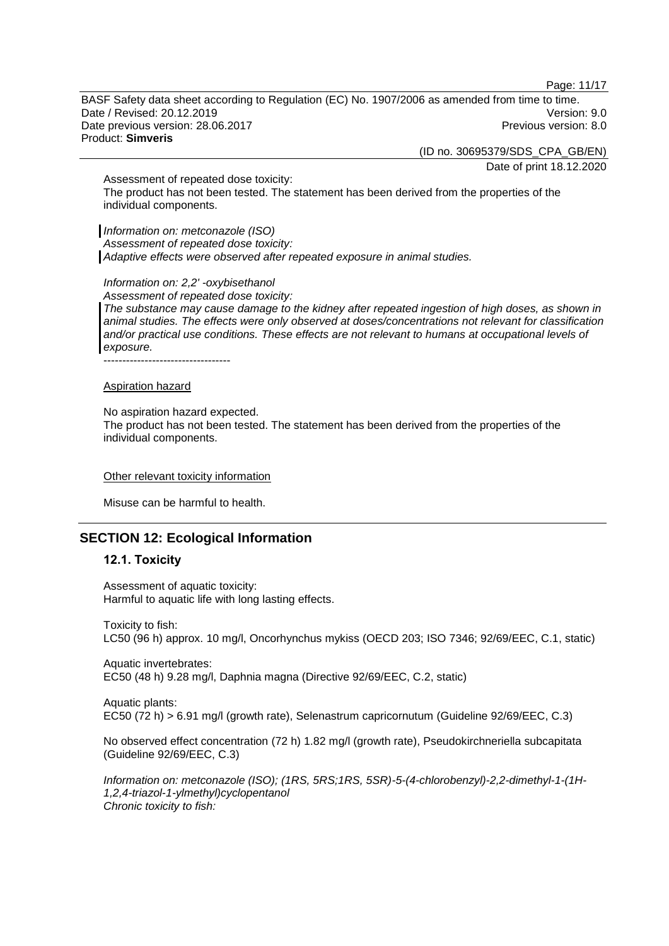Page: 11/17

BASF Safety data sheet according to Regulation (EC) No. 1907/2006 as amended from time to time. Date / Revised: 20.12.2019 Version: 9.0 Date previous version: 28.06.2017 **Previous version: 8.0** Previous version: 8.0 Product: **Simveris**

(ID no. 30695379/SDS\_CPA\_GB/EN)

Date of print 18.12.2020

Assessment of repeated dose toxicity: The product has not been tested. The statement has been derived from the properties of the individual components.

*Information on: metconazole (ISO) Assessment of repeated dose toxicity: Adaptive effects were observed after repeated exposure in animal studies.*

*Information on: 2,2' -oxybisethanol*

*Assessment of repeated dose toxicity: The substance may cause damage to the kidney after repeated ingestion of high doses, as shown in animal studies. The effects were only observed at doses/concentrations not relevant for classification and/or practical use conditions. These effects are not relevant to humans at occupational levels of exposure.*

----------------------------------

#### Aspiration hazard

No aspiration hazard expected.

The product has not been tested. The statement has been derived from the properties of the individual components.

#### Other relevant toxicity information

Misuse can be harmful to health.

# **SECTION 12: Ecological Information**

### **12.1. Toxicity**

Assessment of aquatic toxicity: Harmful to aquatic life with long lasting effects.

Toxicity to fish: LC50 (96 h) approx. 10 mg/l, Oncorhynchus mykiss (OECD 203; ISO 7346; 92/69/EEC, C.1, static)

Aquatic invertebrates: EC50 (48 h) 9.28 mg/l, Daphnia magna (Directive 92/69/EEC, C.2, static)

Aquatic plants: EC50 (72 h) > 6.91 mg/l (growth rate), Selenastrum capricornutum (Guideline 92/69/EEC, C.3)

No observed effect concentration (72 h) 1.82 mg/l (growth rate), Pseudokirchneriella subcapitata (Guideline 92/69/EEC, C.3)

*Information on: metconazole (ISO); (1RS, 5RS;1RS, 5SR)-5-(4-chlorobenzyl)-2,2-dimethyl-1-(1H-1,2,4-triazol-1-ylmethyl)cyclopentanol Chronic toxicity to fish:*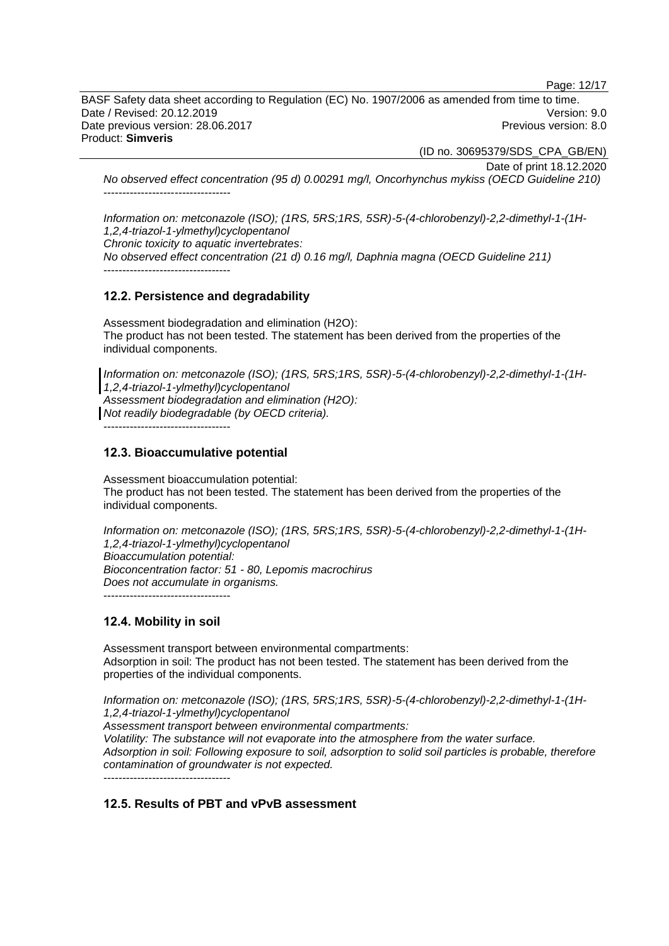Page: 12/17

BASF Safety data sheet according to Regulation (EC) No. 1907/2006 as amended from time to time. Date / Revised: 20.12.2019 Version: 9.0 Date previous version: 28.06.2017 **Previous version: 8.0** Previous version: 8.0 Product: **Simveris**

(ID no. 30695379/SDS\_CPA\_GB/EN)

Date of print 18.12.2020

*No observed effect concentration (95 d) 0.00291 mg/l, Oncorhynchus mykiss (OECD Guideline 210)* ----------------------------------

*Information on: metconazole (ISO); (1RS, 5RS;1RS, 5SR)-5-(4-chlorobenzyl)-2,2-dimethyl-1-(1H-1,2,4-triazol-1-ylmethyl)cyclopentanol Chronic toxicity to aquatic invertebrates: No observed effect concentration (21 d) 0.16 mg/l, Daphnia magna (OECD Guideline 211)*

----------------------------------

# **12.2. Persistence and degradability**

Assessment biodegradation and elimination (H2O): The product has not been tested. The statement has been derived from the properties of the individual components.

*Information on: metconazole (ISO); (1RS, 5RS;1RS, 5SR)-5-(4-chlorobenzyl)-2,2-dimethyl-1-(1H-1,2,4-triazol-1-ylmethyl)cyclopentanol Assessment biodegradation and elimination (H2O): Not readily biodegradable (by OECD criteria).*

----------------------------------

# **12.3. Bioaccumulative potential**

Assessment bioaccumulation potential: The product has not been tested. The statement has been derived from the properties of the individual components.

*Information on: metconazole (ISO); (1RS, 5RS;1RS, 5SR)-5-(4-chlorobenzyl)-2,2-dimethyl-1-(1H-1,2,4-triazol-1-ylmethyl)cyclopentanol Bioaccumulation potential: Bioconcentration factor: 51 - 80, Lepomis macrochirus Does not accumulate in organisms.* ----------------------------------

# **12.4. Mobility in soil**

Assessment transport between environmental compartments: Adsorption in soil: The product has not been tested. The statement has been derived from the properties of the individual components.

*Information on: metconazole (ISO); (1RS, 5RS;1RS, 5SR)-5-(4-chlorobenzyl)-2,2-dimethyl-1-(1H-1,2,4-triazol-1-ylmethyl)cyclopentanol Assessment transport between environmental compartments: Volatility: The substance will not evaporate into the atmosphere from the water surface. Adsorption in soil: Following exposure to soil, adsorption to solid soil particles is probable, therefore contamination of groundwater is not expected.* ----------------------------------

# **12.5. Results of PBT and vPvB assessment**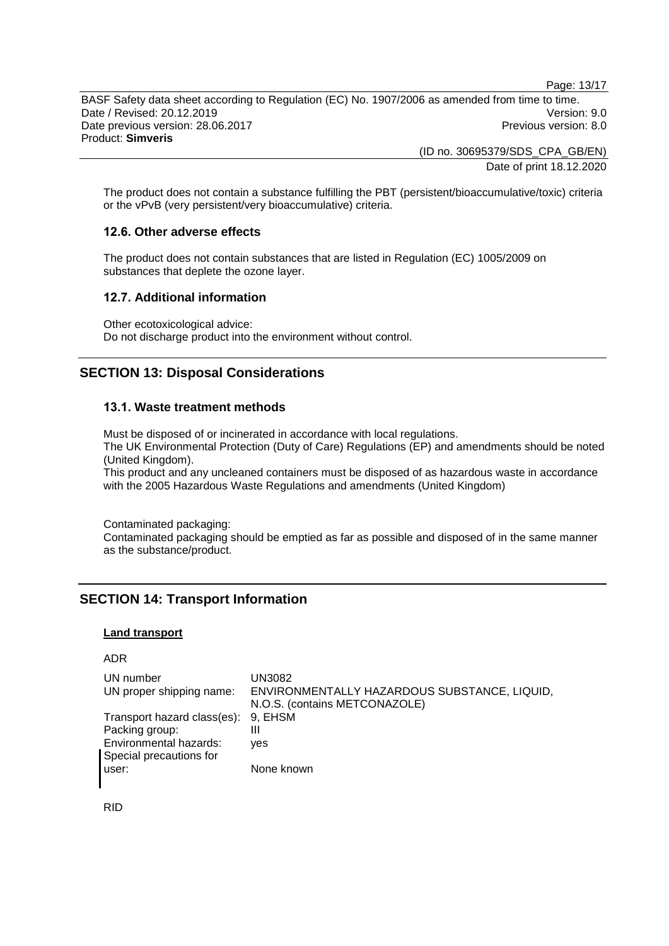Page: 13/17

BASF Safety data sheet according to Regulation (EC) No. 1907/2006 as amended from time to time. Date / Revised: 20.12.2019 Version: 9.0 Date previous version: 28.06.2017 **Previous version: 8.0** Previous version: 8.0 Product: **Simveris**

> (ID no. 30695379/SDS\_CPA\_GB/EN) Date of print 18.12.2020

The product does not contain a substance fulfilling the PBT (persistent/bioaccumulative/toxic) criteria or the vPvB (very persistent/very bioaccumulative) criteria.

### **12.6. Other adverse effects**

The product does not contain substances that are listed in Regulation (EC) 1005/2009 on substances that deplete the ozone layer.

### **12.7. Additional information**

Other ecotoxicological advice: Do not discharge product into the environment without control.

# **SECTION 13: Disposal Considerations**

### **13.1. Waste treatment methods**

Must be disposed of or incinerated in accordance with local regulations. The UK Environmental Protection (Duty of Care) Regulations (EP) and amendments should be noted (United Kingdom).

This product and any uncleaned containers must be disposed of as hazardous waste in accordance with the 2005 Hazardous Waste Regulations and amendments (United Kingdom)

Contaminated packaging:

Contaminated packaging should be emptied as far as possible and disposed of in the same manner as the substance/product.

# **SECTION 14: Transport Information**

### **Land transport**

ADR

| UN number                           | UN3082                                       |
|-------------------------------------|----------------------------------------------|
| UN proper shipping name:            | ENVIRONMENTALLY HAZARDOUS SUBSTANCE, LIQUID, |
|                                     | N.O.S. (contains METCONAZOLE)                |
| Transport hazard class(es): 9, EHSM |                                              |
| Packing group:                      | Ш                                            |
| Environmental hazards:              | <b>ves</b>                                   |
| Special precautions for             |                                              |
| user:                               | None known                                   |

RID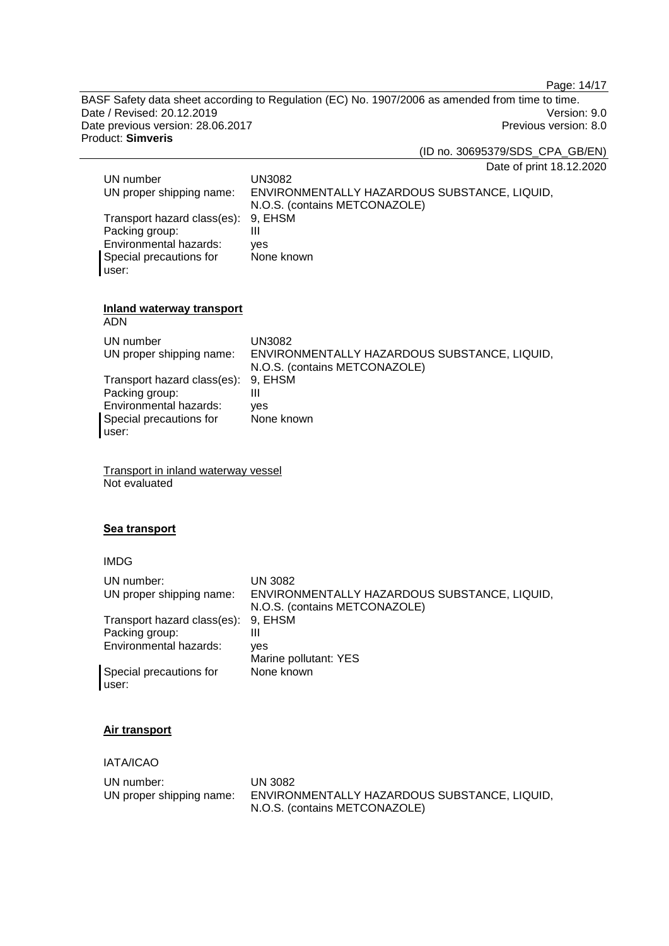Page: 14/17

BASF Safety data sheet according to Regulation (EC) No. 1907/2006 as amended from time to time. Date / Revised: 20.12.2019<br>
Date previous version: 28.06.2017<br>
Previous version: 8.0 Date previous version: 28.06.2017 Product: **Simveris**

(ID no. 30695379/SDS\_CPA\_GB/EN)

Date of print 18.12.2020

| UN number                     | UN3082                                       |
|-------------------------------|----------------------------------------------|
| UN proper shipping name:      | ENVIRONMENTALLY HAZARDOUS SUBSTANCE, LIQUID, |
|                               | N.O.S. (contains METCONAZOLE)                |
| Transport hazard class(es):   | 9. EHSM                                      |
| Packing group:                | Ш                                            |
| <b>Environmental hazards:</b> | ves                                          |
| Special precautions for       | None known                                   |
| user:                         |                                              |

# **Inland waterway transport**

ADN

| UN number<br>UN proper shipping name: | UN3082<br>ENVIRONMENTALLY HAZARDOUS SUBSTANCE, LIQUID,<br>N.O.S. (contains METCONAZOLE) |
|---------------------------------------|-----------------------------------------------------------------------------------------|
| Transport hazard class(es): 9, EHSM   |                                                                                         |
| Packing group:                        |                                                                                         |
| Environmental hazards:                | ves                                                                                     |
| Special precautions for               | None known                                                                              |
| user:                                 |                                                                                         |

Transport in inland waterway vessel Not evaluated

# **Sea transport**

# IMDG

| UN number:<br>UN proper shipping name: | UN 3082<br>ENVIRONMENTALLY HAZARDOUS SUBSTANCE, LIQUID,<br>N.O.S. (contains METCONAZOLE) |
|----------------------------------------|------------------------------------------------------------------------------------------|
| Transport hazard class(es): 9, EHSM    |                                                                                          |
| Packing group:                         | Ш                                                                                        |
| Environmental hazards:                 | ves                                                                                      |
|                                        | Marine pollutant: YES                                                                    |
| Special precautions for<br>user:       | None known                                                                               |

# **Air transport**

IATA/ICAO

| UN number: .             | UN 3082                                      |
|--------------------------|----------------------------------------------|
| UN proper shipping name: | ENVIRONMENTALLY HAZARDOUS SUBSTANCE, LIQUID, |
|                          | N.O.S. (contains METCONAZOLE)                |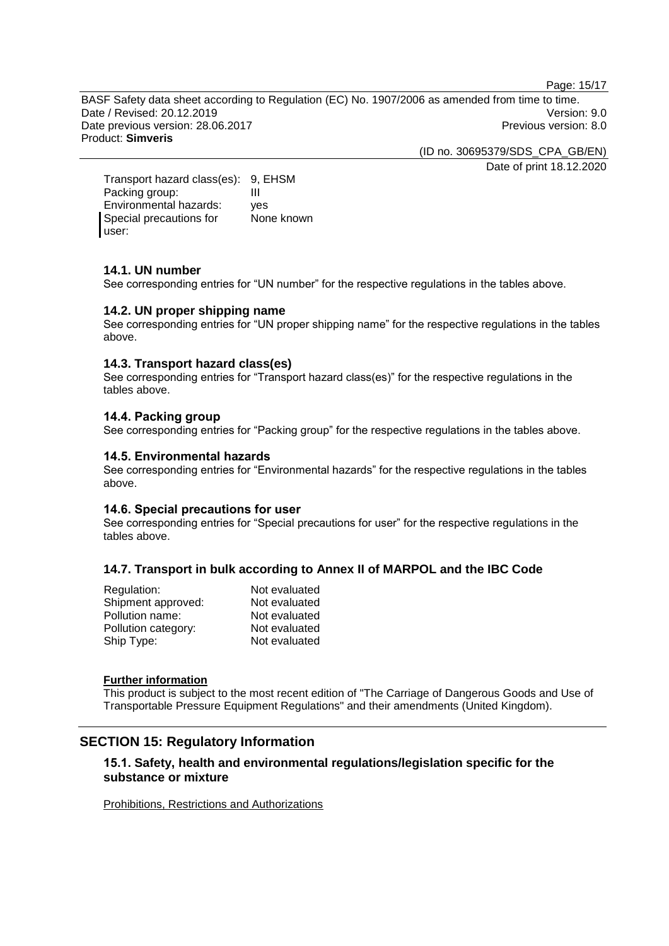Page: 15/17

BASF Safety data sheet according to Regulation (EC) No. 1907/2006 as amended from time to time. Date / Revised: 20.12.2019 Version: 9.0 Date previous version: 28.06.2017 <br>
Previous version: 8.0 Product: **Simveris**

(ID no. 30695379/SDS\_CPA\_GB/EN)

Date of print 18.12.2020

Transport hazard class(es): 9, EHSM<br>Packing group: III Packing group: Environmental hazards: yes Special precautions for user: None known

# **14.1. UN number**

See corresponding entries for "UN number" for the respective regulations in the tables above.

# **14.2. UN proper shipping name**

See corresponding entries for "UN proper shipping name" for the respective regulations in the tables above.

# **14.3. Transport hazard class(es)**

See corresponding entries for "Transport hazard class(es)" for the respective regulations in the tables above.

# **14.4. Packing group**

See corresponding entries for "Packing group" for the respective regulations in the tables above.

# **14.5. Environmental hazards**

See corresponding entries for "Environmental hazards" for the respective regulations in the tables above.

# **14.6. Special precautions for user**

See corresponding entries for "Special precautions for user" for the respective regulations in the tables above.

# **14.7. Transport in bulk according to Annex II of MARPOL and the IBC Code**

| Not evaluated |
|---------------|
| Not evaluated |
| Not evaluated |
| Not evaluated |
| Not evaluated |
|               |

### **Further information**

This product is subject to the most recent edition of "The Carriage of Dangerous Goods and Use of Transportable Pressure Equipment Regulations" and their amendments (United Kingdom).

# **SECTION 15: Regulatory Information**

# **15.1. Safety, health and environmental regulations/legislation specific for the substance or mixture**

Prohibitions, Restrictions and Authorizations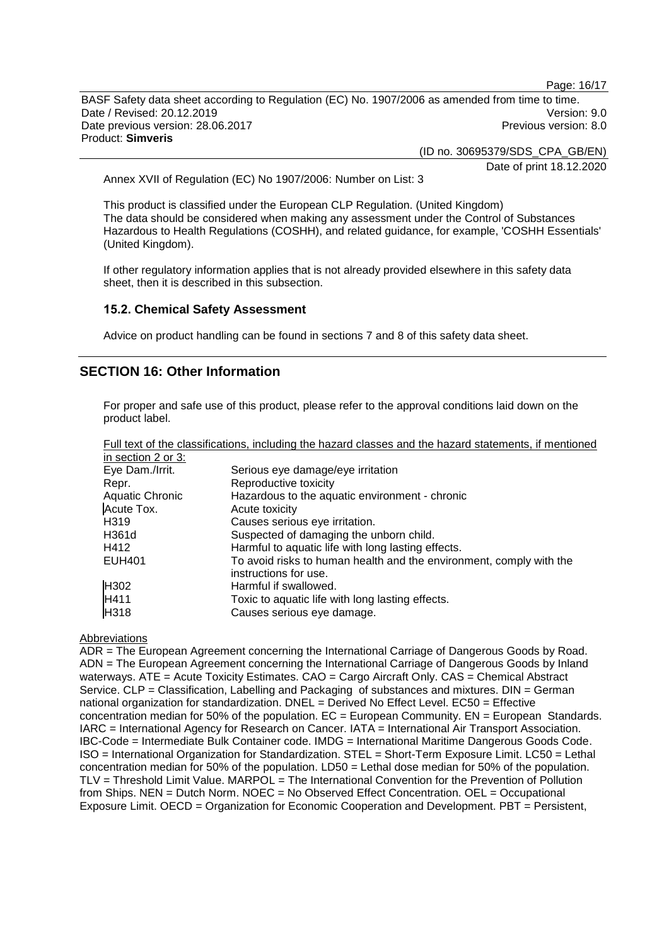Page: 16/17

BASF Safety data sheet according to Regulation (EC) No. 1907/2006 as amended from time to time. Date / Revised: 20.12.2019 Version: 9.0 Date previous version: 28.06.2017 **Previous version: 8.0** Previous version: 8.0 Product: **Simveris**

(ID no. 30695379/SDS\_CPA\_GB/EN)

Date of print 18.12.2020

Annex XVII of Regulation (EC) No 1907/2006: Number on List: 3

This product is classified under the European CLP Regulation. (United Kingdom) The data should be considered when making any assessment under the Control of Substances Hazardous to Health Regulations (COSHH), and related guidance, for example, 'COSHH Essentials' (United Kingdom).

If other regulatory information applies that is not already provided elsewhere in this safety data sheet, then it is described in this subsection.

### **15.2. Chemical Safety Assessment**

Advice on product handling can be found in sections 7 and 8 of this safety data sheet.

# **SECTION 16: Other Information**

For proper and safe use of this product, please refer to the approval conditions laid down on the product label.

|                    | Full text of the classifications, including the hazard classes and the hazard statements, if mentioned |
|--------------------|--------------------------------------------------------------------------------------------------------|
| in section 2 or 3: |                                                                                                        |
| Eye Dam./Irrit.    | Serious eye damage/eye irritation                                                                      |
| Repr.              | Reproductive toxicity                                                                                  |
| Aquatic Chronic    | Hazardous to the aquatic environment - chronic                                                         |
| Acute Tox.         | Acute toxicity                                                                                         |
| H <sub>3</sub> 19  | Causes serious eye irritation.                                                                         |
| H361d              | Suspected of damaging the unborn child.                                                                |
| H412               | Harmful to aquatic life with long lasting effects.                                                     |
| <b>EUH401</b>      | To avoid risks to human health and the environment, comply with the<br>instructions for use.           |
| H <sub>302</sub>   | Harmful if swallowed.                                                                                  |
| H411               | Toxic to aquatic life with long lasting effects.                                                       |
| H318               | Causes serious eye damage.                                                                             |

# **Abbreviations**

ADR = The European Agreement concerning the International Carriage of Dangerous Goods by Road. ADN = The European Agreement concerning the International Carriage of Dangerous Goods by Inland waterways. ATE = Acute Toxicity Estimates. CAO = Cargo Aircraft Only. CAS = Chemical Abstract Service. CLP = Classification, Labelling and Packaging of substances and mixtures. DIN = German national organization for standardization. DNEL = Derived No Effect Level. EC50 = Effective concentration median for 50% of the population.  $EC = European$  Community.  $EN = European$  Standards. IARC = International Agency for Research on Cancer. IATA = International Air Transport Association. IBC-Code = Intermediate Bulk Container code. IMDG = International Maritime Dangerous Goods Code. ISO = International Organization for Standardization. STEL = Short-Term Exposure Limit. LC50 = Lethal concentration median for 50% of the population. LD50 = Lethal dose median for 50% of the population. TLV = Threshold Limit Value. MARPOL = The International Convention for the Prevention of Pollution from Ships. NEN = Dutch Norm. NOEC = No Observed Effect Concentration. OEL = Occupational Exposure Limit. OECD = Organization for Economic Cooperation and Development. PBT = Persistent,